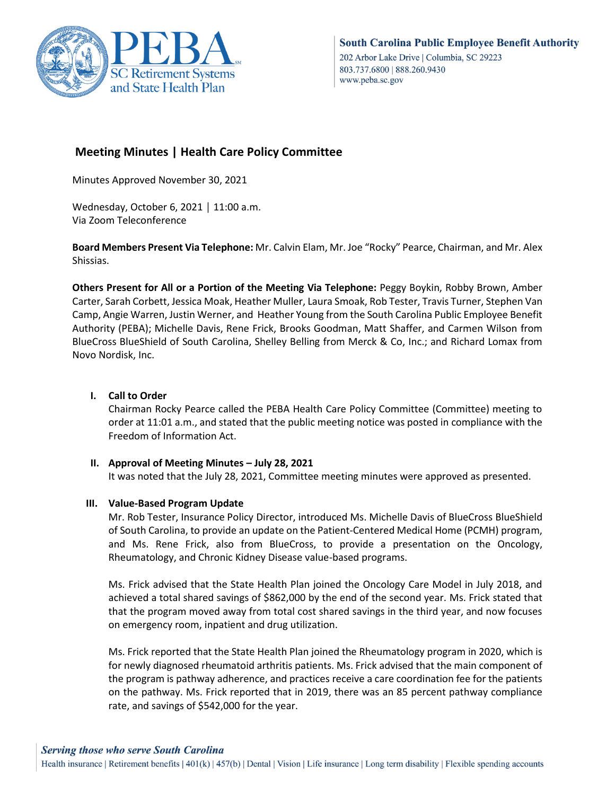

# **Meeting Minutes | Health Care Policy Committee**

Minutes Approved November 30, 2021

Wednesday, October 6, 2021 │ 11:00 a.m. Via Zoom Teleconference

**Board Members Present Via Telephone:** Mr. Calvin Elam, Mr. Joe "Rocky" Pearce, Chairman, and Mr. Alex Shissias.

**Others Present for All or a Portion of the Meeting Via Telephone:** Peggy Boykin, Robby Brown, Amber Carter, Sarah Corbett, Jessica Moak, Heather Muller, Laura Smoak, Rob Tester, Travis Turner, Stephen Van Camp, Angie Warren, Justin Werner, and Heather Young from the South Carolina Public Employee Benefit Authority (PEBA); Michelle Davis, Rene Frick, Brooks Goodman, Matt Shaffer, and Carmen Wilson from BlueCross BlueShield of South Carolina, Shelley Belling from Merck & Co, Inc.; and Richard Lomax from Novo Nordisk, Inc.

## **I. Call to Order**

Chairman Rocky Pearce called the PEBA Health Care Policy Committee (Committee) meeting to order at 11:01 a.m., and stated that the public meeting notice was posted in compliance with the Freedom of Information Act.

### **II. Approval of Meeting Minutes – July 28, 2021**

It was noted that the July 28, 2021, Committee meeting minutes were approved as presented.

### **III. Value-Based Program Update**

Mr. Rob Tester, Insurance Policy Director, introduced Ms. Michelle Davis of BlueCross BlueShield of South Carolina, to provide an update on the Patient-Centered Medical Home (PCMH) program, and Ms. Rene Frick, also from BlueCross, to provide a presentation on the Oncology, Rheumatology, and Chronic Kidney Disease value-based programs.

Ms. Frick advised that the State Health Plan joined the Oncology Care Model in July 2018, and achieved a total shared savings of \$862,000 by the end of the second year. Ms. Frick stated that that the program moved away from total cost shared savings in the third year, and now focuses on emergency room, inpatient and drug utilization.

Ms. Frick reported that the State Health Plan joined the Rheumatology program in 2020, which is for newly diagnosed rheumatoid arthritis patients. Ms. Frick advised that the main component of the program is pathway adherence, and practices receive a care coordination fee for the patients on the pathway. Ms. Frick reported that in 2019, there was an 85 percent pathway compliance rate, and savings of \$542,000 for the year.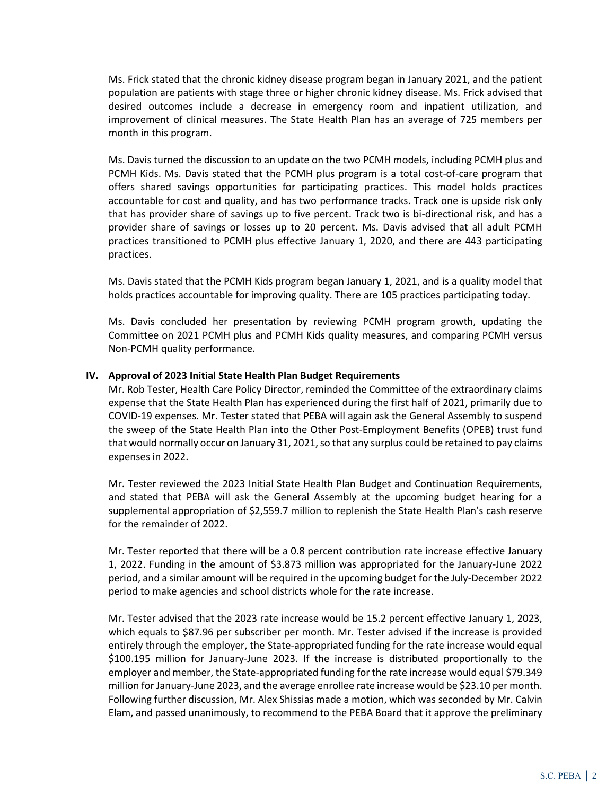Ms. Frick stated that the chronic kidney disease program began in January 2021, and the patient population are patients with stage three or higher chronic kidney disease. Ms. Frick advised that desired outcomes include a decrease in emergency room and inpatient utilization, and improvement of clinical measures. The State Health Plan has an average of 725 members per month in this program.

Ms. Davis turned the discussion to an update on the two PCMH models, including PCMH plus and PCMH Kids. Ms. Davis stated that the PCMH plus program is a total cost-of-care program that offers shared savings opportunities for participating practices. This model holds practices accountable for cost and quality, and has two performance tracks. Track one is upside risk only that has provider share of savings up to five percent. Track two is bi-directional risk, and has a provider share of savings or losses up to 20 percent. Ms. Davis advised that all adult PCMH practices transitioned to PCMH plus effective January 1, 2020, and there are 443 participating practices.

Ms. Davis stated that the PCMH Kids program began January 1, 2021, and is a quality model that holds practices accountable for improving quality. There are 105 practices participating today.

Ms. Davis concluded her presentation by reviewing PCMH program growth, updating the Committee on 2021 PCMH plus and PCMH Kids quality measures, and comparing PCMH versus Non-PCMH quality performance.

#### **IV. Approval of 2023 Initial State Health Plan Budget Requirements**

Mr. Rob Tester, Health Care Policy Director, reminded the Committee of the extraordinary claims expense that the State Health Plan has experienced during the first half of 2021, primarily due to COVID-19 expenses. Mr. Tester stated that PEBA will again ask the General Assembly to suspend the sweep of the State Health Plan into the Other Post-Employment Benefits (OPEB) trust fund that would normally occur on January 31, 2021, so that any surplus could be retained to pay claims expenses in 2022.

Mr. Tester reviewed the 2023 Initial State Health Plan Budget and Continuation Requirements, and stated that PEBA will ask the General Assembly at the upcoming budget hearing for a supplemental appropriation of \$2,559.7 million to replenish the State Health Plan's cash reserve for the remainder of 2022.

Mr. Tester reported that there will be a 0.8 percent contribution rate increase effective January 1, 2022. Funding in the amount of \$3.873 million was appropriated for the January-June 2022 period, and a similar amount will be required in the upcoming budget for the July-December 2022 period to make agencies and school districts whole for the rate increase.

Mr. Tester advised that the 2023 rate increase would be 15.2 percent effective January 1, 2023, which equals to \$87.96 per subscriber per month. Mr. Tester advised if the increase is provided entirely through the employer, the State-appropriated funding for the rate increase would equal \$100.195 million for January-June 2023. If the increase is distributed proportionally to the employer and member, the State-appropriated funding for the rate increase would equal \$79.349 million for January-June 2023, and the average enrollee rate increase would be \$23.10 per month. Following further discussion, Mr. Alex Shissias made a motion, which was seconded by Mr. Calvin Elam, and passed unanimously, to recommend to the PEBA Board that it approve the preliminary